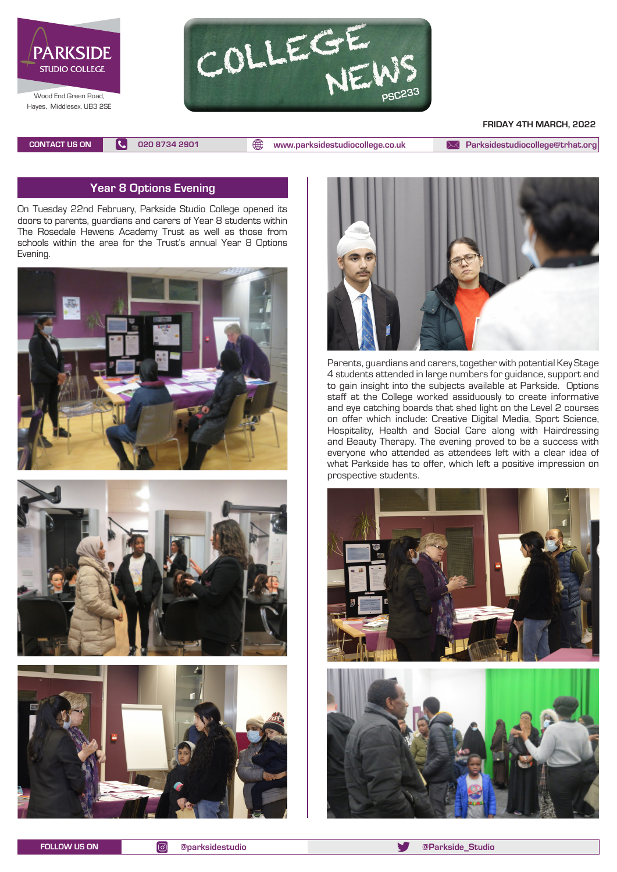



#### **FRIDAY 4TH MARCH, 2022**

**CONTACT US ON 020 8734 2901 [www.parksidestudiocollege.co.uk](http://www.parksidestudiocollege.co.uk) [Parksidestudiocollege@trhat.org](mailto:Parksidestudiocollege@trhat.org)**

#### **Year 8 Options Evening**

On Tuesday 22nd February, Parkside Studio College opened its doors to parents, guardians and carers of Year 8 students within The Rosedale Hewens Academy Trust as well as those from schools within the area for the Trust's annual Year 8 Options Evening.









Parents, guardians and carers, together with potential Key Stage 4 students attended in large numbers for guidance, support and to gain insight into the subjects available at Parkside. Options staff at the College worked assiduously to create informative and eye catching boards that shed light on the Level 2 courses on offer which include: Creative Digital Media, Sport Science, Hospitality, Health and Social Care along with Hairdressing and Beauty Therapy. The evening proved to be a success with everyone who attended as attendees left with a clear idea of what Parkside has to offer, which left a positive impression on prospective students.